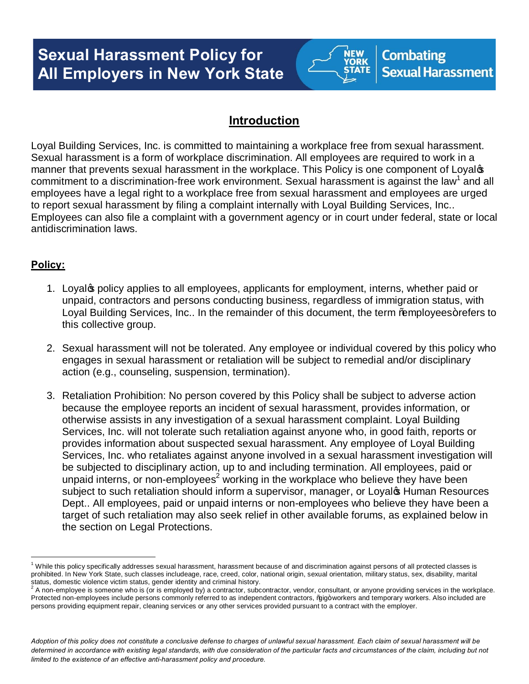

# **Introduction**

Loyal Building Services, Inc. is committed to maintaining a workplace free from sexual harassment. Sexual harassment is a form of workplace discrimination. All employees are required to work in a manner that prevents sexual harassment in the workplace. This Policy is one component of Loyal<sup>®</sup> commitment to a discrimination-free work environment. Sexual harassment is against the law<sup>1</sup> and all employees have a legal right to a workplace free from sexual harassment and employees are urged to report sexual harassment by filing a complaint internally with Loyal Building Services, Inc.. Employees can also file a complaint with a government agency or in court under federal, state or local antidiscrimination laws.

### **Policy:**

 $\overline{a}$ 

- 1. Loyal to policy applies to all employees, applicants for employment, interns, whether paid or unpaid, contractors and persons conducting business, regardless of immigration status, with Loyal Building Services, Inc.. In the remainder of this document, the term % amployees+ refers to this collective group.
- 2. Sexual harassment will not be tolerated. Any employee or individual covered by this policy who engages in sexual harassment or retaliation will be subject to remedial and/or disciplinary action (e.g., counseling, suspension, termination).
- 3. Retaliation Prohibition: No person covered by this Policy shall be subject to adverse action because the employee reports an incident of sexual harassment, provides information, or otherwise assists in any investigation of a sexual harassment complaint. Loyal Building Services, Inc. will not tolerate such retaliation against anyone who, in good faith, reports or provides information about suspected sexual harassment. Any employee of Loyal Building Services, Inc. who retaliates against anyone involved in a sexual harassment investigation will be subjected to disciplinary action, up to and including termination. All employees, paid or unpaid interns, or non-employees $2$  working in the workplace who believe they have been subject to such retaliation should inform a supervisor, manager, or Loyal & Human Resources Dept.. All employees, paid or unpaid interns or non-employees who believe they have been a target of such retaliation may also seek relief in other available forums, as explained below in the section on Legal Protections.

 $1$  While this policy specifically addresses sexual harassment, harassment because of and discrimination against persons of all protected classes is prohibited. In New York State, such classes includeage, race, creed, color, national origin, sexual orientation, military status, sex, disability, marital status, domestic violence victim status, gender identity and criminal history.

<sup>&</sup>lt;sup>2</sup> A non-employee is someone who is (or is employed by) a contractor, subcontractor, vendor, consultant, or anyone providing services in the workplace. Protected non-employees include persons commonly referred to as independent contractors, %yig+workers and temporary workers. Also included are persons providing equipment repair, cleaning services or any other services provided pursuant to a contract with the employer.

*Adoption of this policy does not constitute a conclusive defense to charges of unlawful sexual harassment. Each claim of sexual harassment will be*  determined in accordance with existing legal standards, with due consideration of the particular facts and circumstances of the claim, including but not *limited to the existence of an effective anti-harassment policy and procedure.*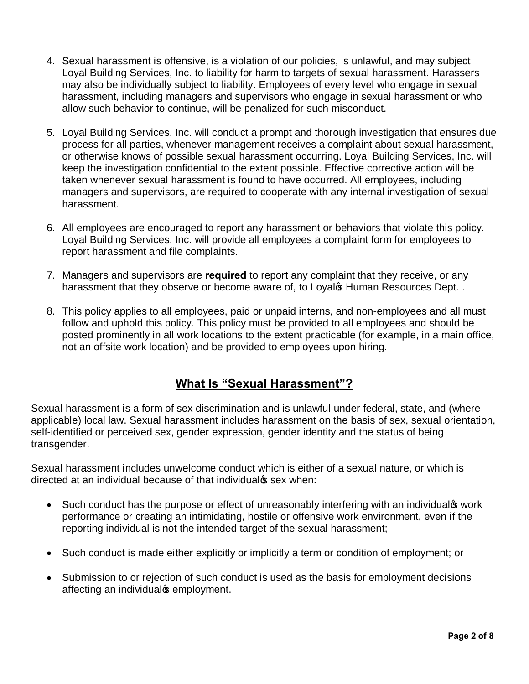- 4. Sexual harassment is offensive, is a violation of our policies, is unlawful, and may subject Loyal Building Services, Inc. to liability for harm to targets of sexual harassment. Harassers may also be individually subject to liability. Employees of every level who engage in sexual harassment, including managers and supervisors who engage in sexual harassment or who allow such behavior to continue, will be penalized for such misconduct.
- 5. Loyal Building Services, Inc. will conduct a prompt and thorough investigation that ensures due process for all parties, whenever management receives a complaint about sexual harassment, or otherwise knows of possible sexual harassment occurring. Loyal Building Services, Inc. will keep the investigation confidential to the extent possible. Effective corrective action will be taken whenever sexual harassment is found to have occurred. All employees, including managers and supervisors, are required to cooperate with any internal investigation of sexual harassment.
- 6. All employees are encouraged to report any harassment or behaviors that violate this policy. Loyal Building Services, Inc. will provide all employees a complaint form for employees to report harassment and file complaints.
- 7. Managers and supervisors are **required** to report any complaint that they receive, or any harassment that they observe or become aware of, to Loyal w Human Resources Dept. .
- 8. This policy applies to all employees, paid or unpaid interns, and non-employees and all must follow and uphold this policy. This policy must be provided to all employees and should be posted prominently in all work locations to the extent practicable (for example, in a main office, not an offsite work location) and be provided to employees upon hiring.

# **What Is "Sexual Harassment"?**

Sexual harassment is a form of sex discrimination and is unlawful under federal, state, and (where applicable) local law. Sexual harassment includes harassment on the basis of sex, sexual orientation, self-identified or perceived sex, gender expression, gender identity and the status of being transgender.

Sexual harassment includes unwelcome conduct which is either of a sexual nature, or which is directed at an individual because of that individualos sex when:

- Such conduct has the purpose or effect of unreasonably interfering with an individual twork performance or creating an intimidating, hostile or offensive work environment, even if the reporting individual is not the intended target of the sexual harassment;
- · Such conduct is made either explicitly or implicitly a term or condition of employment; or
- · Submission to or rejection of such conduct is used as the basis for employment decisions affecting an individual<sup>®</sup> employment.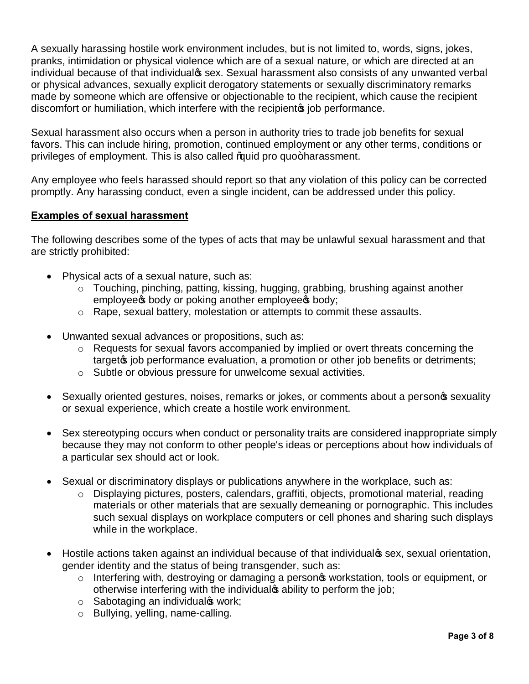A sexually harassing hostile work environment includes, but is not limited to, words, signs, jokes, pranks, intimidation or physical violence which are of a sexual nature, or which are directed at an individual because of that individual s sex. Sexual harassment also consists of any unwanted verbal or physical advances, sexually explicit derogatory statements or sexually discriminatory remarks made by someone which are offensive or objectionable to the recipient, which cause the recipient discomfort or humiliation, which interfere with the recipient to job performance.

Sexual harassment also occurs when a person in authority tries to trade job benefits for sexual favors. This can include hiring, promotion, continued employment or any other terms, conditions or privileges of employment. This is also called *"* and pro quo + harassment.

Any employee who feels harassed should report so that any violation of this policy can be corrected promptly. Any harassing conduct, even a single incident, can be addressed under this policy.

#### **Examples of sexual harassment**

The following describes some of the types of acts that may be unlawful sexual harassment and that are strictly prohibited:

- · Physical acts of a sexual nature, such as:
	- o Touching, pinching, patting, kissing, hugging, grabbing, brushing against another employee to body or poking another employees body;
	- $\circ$  Rape, sexual battery, molestation or attempts to commit these assaults.
- · Unwanted sexual advances or propositions, such as:
	- o Requests for sexual favors accompanied by implied or overt threats concerning the target to performance evaluation, a promotion or other job benefits or detriments;
	- o Subtle or obvious pressure for unwelcome sexual activities.
- Sexually oriented gestures, noises, remarks or jokes, or comments about a persong sexuality or sexual experience, which create a hostile work environment.
- · Sex stereotyping occurs when conduct or personality traits are considered inappropriate simply because they may not conform to other people's ideas or perceptions about how individuals of a particular sex should act or look.
- Sexual or discriminatory displays or publications anywhere in the workplace, such as:
	- o Displaying pictures, posters, calendars, graffiti, objects, promotional material, reading materials or other materials that are sexually demeaning or pornographic. This includes such sexual displays on workplace computers or cell phones and sharing such displays while in the workplace.
- Hostile actions taken against an individual because of that individualos sex, sexual orientation, gender identity and the status of being transgender, such as:
	- $\circ$  Interfering with, destroying or damaging a personot workstation, tools or equipment, or otherwise interfering with the individual ability to perform the job;
	- $\circ$  Sabotaging an individual  $\circ$  work;
	- o Bullying, yelling, name-calling.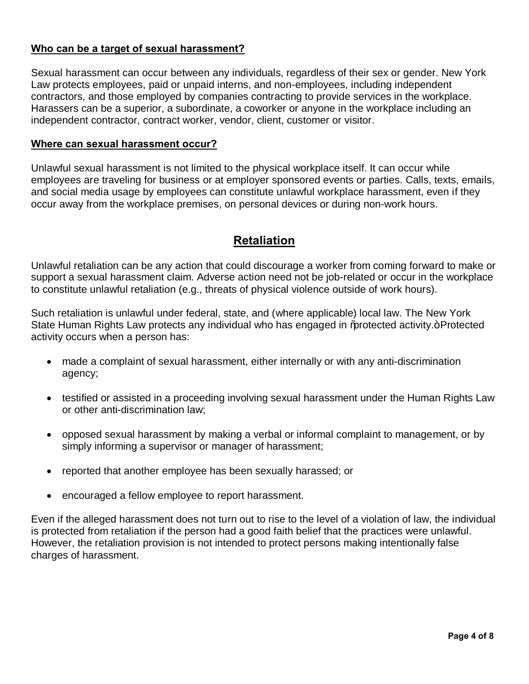#### **Who can be a target of sexual harassment?**

Sexual harassment can occur between any individuals, regardless of their sex or gender. New York Law protects employees, paid or unpaid interns, and non-employees, including independent contractors, and those employed by companies contracting to provide services in the workplace. Harassers can be a superior, a subordinate, a coworker or anyone in the workplace including an independent contractor, contract worker, vendor, client, customer or visitor.

#### **Where can sexual harassment occur?**

Unlawful sexual harassment is not limited to the physical workplace itself. It can occur while employees are traveling for business or at employer sponsored events or parties. Calls, texts, emails, and social media usage by employees can constitute unlawful workplace harassment, even if they occur away from the workplace premises, on personal devices or during non-work hours.

## **Retaliation**

Unlawful retaliation can be any action that could discourage a worker from coming forward to make or support a sexual harassment claim. Adverse action need not be job-related or occur in the workplace to constitute unlawful retaliation (e.g., threats of physical violence outside of work hours).

Such retaliation is unlawful under federal, state, and (where applicable) local law. The New York State Human Rights Law protects any individual who has engaged in % arotected activity. + Protected activity occurs when a person has:

- made a complaint of sexual harassment, either internally or with any anti-discrimination agency;
- testified or assisted in a proceeding involving sexual harassment under the Human Rights Law or other anti-discrimination law;
- · opposed sexual harassment by making a verbal or informal complaint to management, or by simply informing a supervisor or manager of harassment;
- reported that another employee has been sexually harassed; or
- encouraged a fellow employee to report harassment.

Even if the alleged harassment does not turn out to rise to the level of a violation of law, the individual is protected from retaliation if the person had a good faith belief that the practices were unlawful. However, the retaliation provision is not intended to protect persons making intentionally false charges of harassment.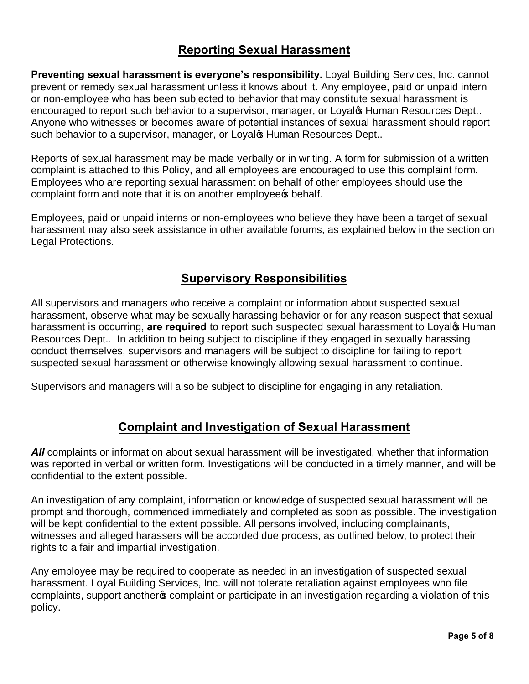## **Reporting Sexual Harassment**

**Preventing sexual harassment is everyone's responsibility.** Loyal Building Services, Inc. cannot prevent or remedy sexual harassment unless it knows about it. Any employee, paid or unpaid intern or non-employee who has been subjected to behavior that may constitute sexual harassment is encouraged to report such behavior to a supervisor, manager, or Loyal & Human Resources Dept.. Anyone who witnesses or becomes aware of potential instances of sexual harassment should report such behavior to a supervisor, manager, or Loyal w Human Resources Dept..

Reports of sexual harassment may be made verbally or in writing. A form for submission of a written complaint is attached to this Policy, and all employees are encouraged to use this complaint form. Employees who are reporting sexual harassment on behalf of other employees should use the complaint form and note that it is on another employee op behalf.

Employees, paid or unpaid interns or non-employees who believe they have been a target of sexual harassment may also seek assistance in other available forums, as explained below in the section on Legal Protections.

### **Supervisory Responsibilities**

All supervisors and managers who receive a complaint or information about suspected sexual harassment, observe what may be sexually harassing behavior or for any reason suspect that sexual harassment is occurring, are required to report such suspected sexual harassment to Loyal<sup>®</sup> Human Resources Dept.. In addition to being subject to discipline if they engaged in sexually harassing conduct themselves, supervisors and managers will be subject to discipline for failing to report suspected sexual harassment or otherwise knowingly allowing sexual harassment to continue.

Supervisors and managers will also be subject to discipline for engaging in any retaliation.

## **Complaint and Investigation of Sexual Harassment**

**All** complaints or information about sexual harassment will be investigated, whether that information was reported in verbal or written form. Investigations will be conducted in a timely manner, and will be confidential to the extent possible.

An investigation of any complaint, information or knowledge of suspected sexual harassment will be prompt and thorough, commenced immediately and completed as soon as possible. The investigation will be kept confidential to the extent possible. All persons involved, including complainants, witnesses and alleged harassers will be accorded due process, as outlined below, to protect their rights to a fair and impartial investigation.

Any employee may be required to cooperate as needed in an investigation of suspected sexual harassment. Loyal Building Services, Inc. will not tolerate retaliation against employees who file complaints, support another t complaint or participate in an investigation regarding a violation of this policy.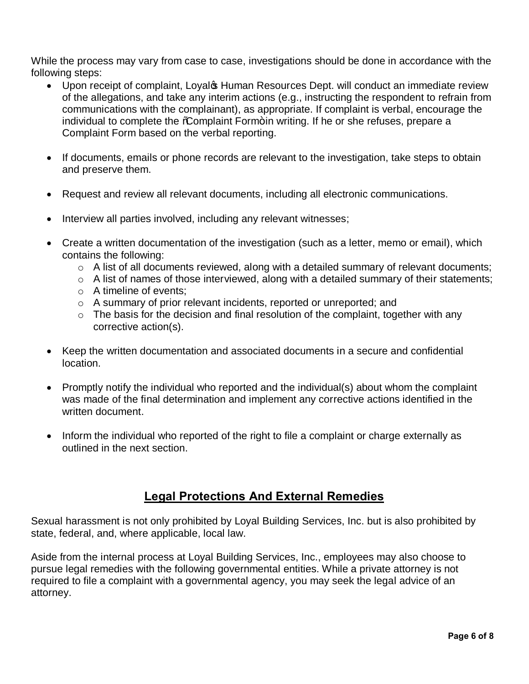While the process may vary from case to case, investigations should be done in accordance with the following steps:

- Upon receipt of complaint, Loyal & Human Resources Dept. will conduct an immediate review of the allegations, and take any interim actions (e.g., instructing the respondent to refrain from communications with the complainant), as appropriate. If complaint is verbal, encourage the individual to complete the *C*omplaint Form+in writing. If he or she refuses, prepare a Complaint Form based on the verbal reporting.
- · If documents, emails or phone records are relevant to the investigation, take steps to obtain and preserve them.
- · Request and review all relevant documents, including all electronic communications.
- Interview all parties involved, including any relevant witnesses;
- · Create a written documentation of the investigation (such as a letter, memo or email), which contains the following:
	- $\circ$  A list of all documents reviewed, along with a detailed summary of relevant documents;
	- $\circ$  A list of names of those interviewed, along with a detailed summary of their statements;
	- o A timeline of events;
	- o A summary of prior relevant incidents, reported or unreported; and
	- o The basis for the decision and final resolution of the complaint, together with any corrective action(s).
- · Keep the written documentation and associated documents in a secure and confidential location.
- · Promptly notify the individual who reported and the individual(s) about whom the complaint was made of the final determination and implement any corrective actions identified in the written document.
- Inform the individual who reported of the right to file a complaint or charge externally as outlined in the next section.

## **Legal Protections And External Remedies**

Sexual harassment is not only prohibited by Loyal Building Services, Inc. but is also prohibited by state, federal, and, where applicable, local law.

Aside from the internal process at Loyal Building Services, Inc., employees may also choose to pursue legal remedies with the following governmental entities. While a private attorney is not required to file a complaint with a governmental agency, you may seek the legal advice of an attorney.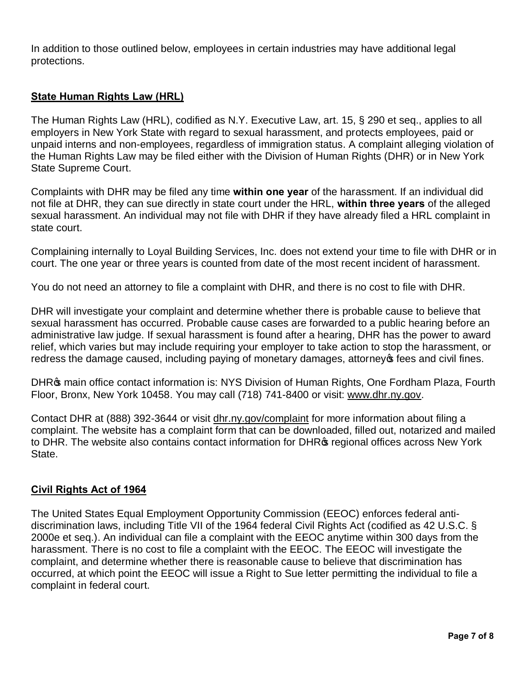In addition to those outlined below, employees in certain industries may have additional legal protections.

### **State Human Rights Law (HRL)**

The Human Rights Law (HRL), codified as N.Y. Executive Law, art. 15, § 290 et seq., applies to all employers in New York State with regard to sexual harassment, and protects employees, paid or unpaid interns and non-employees, regardless of immigration status. A complaint alleging violation of the Human Rights Law may be filed either with the Division of Human Rights (DHR) or in New York State Supreme Court.

Complaints with DHR may be filed any time **within one year** of the harassment. If an individual did not file at DHR, they can sue directly in state court under the HRL, **within three years** of the alleged sexual harassment. An individual may not file with DHR if they have already filed a HRL complaint in state court.

Complaining internally to Loyal Building Services, Inc. does not extend your time to file with DHR or in court. The one year or three years is counted from date of the most recent incident of harassment.

You do not need an attorney to file a complaint with DHR, and there is no cost to file with DHR.

DHR will investigate your complaint and determine whether there is probable cause to believe that sexual harassment has occurred. Probable cause cases are forwarded to a public hearing before an administrative law judge. If sexual harassment is found after a hearing, DHR has the power to award relief, which varies but may include requiring your employer to take action to stop the harassment, or redress the damage caused, including paying of monetary damages, attorney of fees and civil fines.

DHR<sub>G</sub> main office contact information is: NYS Division of Human Rights, One Fordham Plaza, Fourth Floor, Bronx, New York 10458. You may call (718) 741-8400 or visit: www.dhr.ny.gov.

Contact DHR at (888) 392-3644 or visit dhr.ny.gov/complaint for more information about filing a complaint. The website has a complaint form that can be downloaded, filled out, notarized and mailed to DHR. The website also contains contact information for DHR $\sigma$  regional offices across New York State.

#### **Civil Rights Act of 1964**

The United States Equal Employment Opportunity Commission (EEOC) enforces federal antidiscrimination laws, including Title VII of the 1964 federal Civil Rights Act (codified as 42 U.S.C. § 2000e et seq.). An individual can file a complaint with the EEOC anytime within 300 days from the harassment. There is no cost to file a complaint with the EEOC. The EEOC will investigate the complaint, and determine whether there is reasonable cause to believe that discrimination has occurred, at which point the EEOC will issue a Right to Sue letter permitting the individual to file a complaint in federal court.